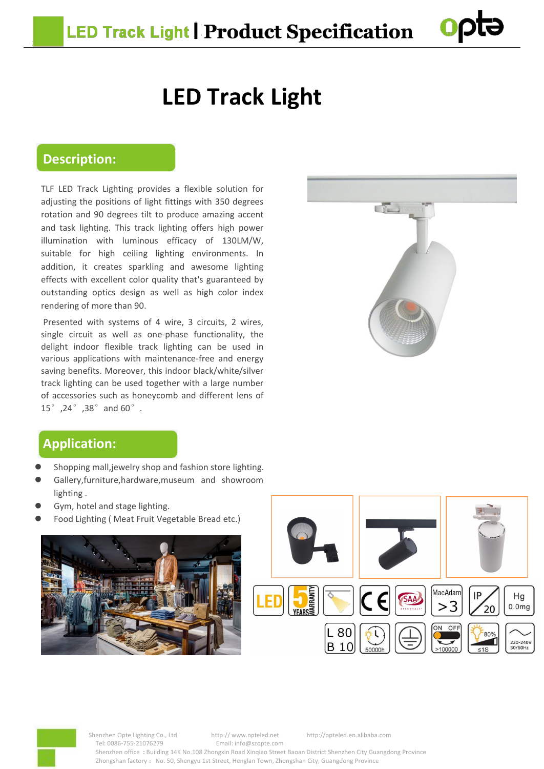# **LED Track Light**

## **Description:**

TLF LED Track Lighting provides a flexible solution for adjusting the positions of light fittings with 350 degrees rotation and 90 degrees tilt to produce amazing accent and task lighting. This track lighting offers high power illumination with luminous efficacy of 130LM/W, suitable for high ceiling lighting environments. In addition, it creates sparkling and awesome lighting effects with excellent color quality that's guaranteed by outstanding optics design as well as high color index rendering of more than 90.

Presented with systems of 4 wire, 3 circuits, 2 wires, single circuit as well as one-phase functionality, the delight indoor flexible track lighting can be used in various applications with maintenance-free and energy saving benefits. Moreover, this indoor black/white/silver track lighting can be used together with alarge number of accessories such as honeycomb and different lens of 15°,24°,38°and 60°.



# **Application:**

- Shopping mall,jewelry shop and fashion store lighting.
- Gallery,furniture,hardware,museum and showroom lighting .
- Gym, hotel and stage lighting.
- Food Lighting ( Meat Fruit Vegetable Bread etc.)







Shenzhen Opte Lighting Co., Ltd http:// www.opteled.net http://opteled.en.alibaba.com Tel: 0086-755-21076279 Email: info@szopte.com Shenzhen office **:** Building 14K No.108 Zhongxin Road Xinqiao Street Baoan District Shenzhen City Guangdong Province Zhongshan factory : No. 50, Shengyu 1st Street, Henglan Town, Zhongshan City, Guangdong Province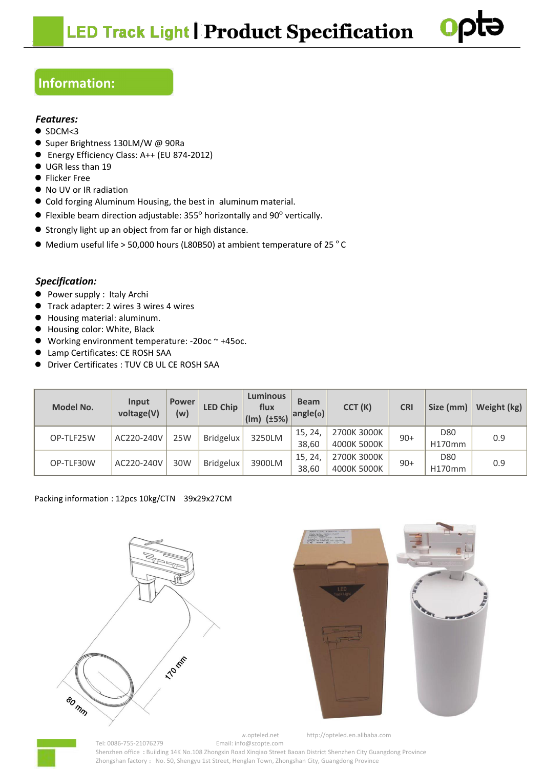

# **Information:**

## *Features:*

- $\bullet$  SDCM<3
- Super Brightness 130LM/W @ 90Ra
- Energy Efficiency Class: A++ (EU 874-2012)
- $\bullet$  UGR less than 19
- **•** Flicker Free
- No UV or IR radiation
- Cold forging Aluminum Housing, the best in aluminum material.
- Flexible beam direction adjustable: 355**°** horizontally and 90**°** vertically.
- Strongly light up an object from far or high distance.
- Medium useful life > 50,000 hours (L80B50) at ambient temperature of 25 °C

### *Specification:*

- Power supply : Italy Archi
- Track adapter: 2 wires 3 wires 4 wires
- Housing material: aluminum.
- Housing color: White, Black
- Working environment temperature: -20oc ~ +45oc.
- Lamp Certificates: CE ROSH SAA
- Driver Certificates : TUV CB UL CE ROSH SAA

| <b>Model No.</b> | Input<br>voltage(V) | <b>Power</b><br>(w) | <b>LED Chip</b>  | <b>Luminous</b><br>flux<br>$\frac{1}{1}$ (lm) (±5%) | <b>Beam</b><br>angle(o) | CCT(K)                     | <b>CRI</b> | Size (mm)     | Weight (kg) |
|------------------|---------------------|---------------------|------------------|-----------------------------------------------------|-------------------------|----------------------------|------------|---------------|-------------|
| OP-TLF25W        | AC220-240V          | 25W                 | <b>Bridgelux</b> | 3250LM                                              | 15, 24,<br>38,60        | 2700K 3000K<br>4000K 5000K | $90+$      | D80<br>H170mm | 0.9         |
| OP-TLF30W        | AC220-240V          | 30W                 | <b>Bridgelux</b> | 3900LM                                              | 15, 24,                 | 2700K 3000K                | $90+$      | D80           | 0.9         |
|                  |                     |                     |                  |                                                     | 38,60                   | 4000K 5000K                |            | H170mm        |             |

#### Packing information : 12pcs 10kg/CTN 39x29x27CM







 $N$ .opteled.net http://opteled.en.alibaba.com Tel: 0086-755-21076279 Email: info@szopte.com Shenzhen office **:** Building 14K No.108 Zhongxin Road Xinqiao Street Baoan District Shenzhen City Guangdong Province Zhongshan factory : No. 50, Shengyu 1st Street, Henglan Town, Zhongshan City, Guangdong Province